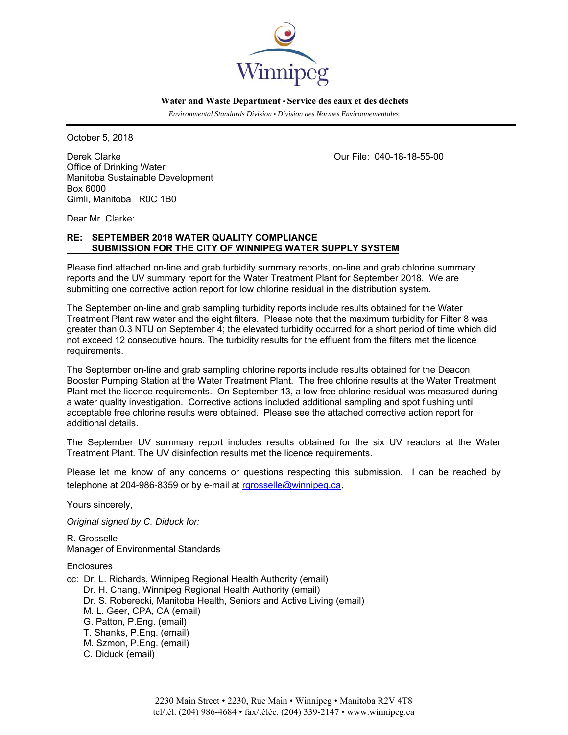

 **Water and Waste Department • Service des eaux et des déchets**

 *Environmental Standards Division • Division des Normes Environnementales* 

October 5, 2018

Derek Clarke Our File: 040-18-18-55-00 Office of Drinking Water Manitoba Sustainable Development Box 6000 Gimli, Manitoba R0C 1B0

Dear Mr. Clarke:

# **RE: SEPTEMBER 2018 WATER QUALITY COMPLIANCE SUBMISSION FOR THE CITY OF WINNIPEG WATER SUPPLY SYSTEM**

Please find attached on-line and grab turbidity summary reports, on-line and grab chlorine summary reports and the UV summary report for the Water Treatment Plant for September 2018. We are submitting one corrective action report for low chlorine residual in the distribution system.

The September on-line and grab sampling turbidity reports include results obtained for the Water Treatment Plant raw water and the eight filters. Please note that the maximum turbidity for Filter 8 was greater than 0.3 NTU on September 4; the elevated turbidity occurred for a short period of time which did not exceed 12 consecutive hours. The turbidity results for the effluent from the filters met the licence requirements.

The September on-line and grab sampling chlorine reports include results obtained for the Deacon Booster Pumping Station at the Water Treatment Plant. The free chlorine results at the Water Treatment Plant met the licence requirements. On September 13, a low free chlorine residual was measured during a water quality investigation. Corrective actions included additional sampling and spot flushing until acceptable free chlorine results were obtained. Please see the attached corrective action report for additional details.

The September UV summary report includes results obtained for the six UV reactors at the Water Treatment Plant. The UV disinfection results met the licence requirements.

Please let me know of any concerns or questions respecting this submission. I can be reached by telephone at 204-986-8359 or by e-mail at rgrosselle@winnipeg.ca.

Yours sincerely,

*Original signed by C. Diduck for:* 

R. Grosselle Manager of Environmental Standards

**Enclosures** 

cc: Dr. L. Richards, Winnipeg Regional Health Authority (email) Dr. H. Chang, Winnipeg Regional Health Authority (email) Dr. S. Roberecki, Manitoba Health, Seniors and Active Living (email) M. L. Geer, CPA, CA (email) G. Patton, P.Eng. (email) T. Shanks, P.Eng. (email) M. Szmon, P.Eng. (email) C. Diduck (email)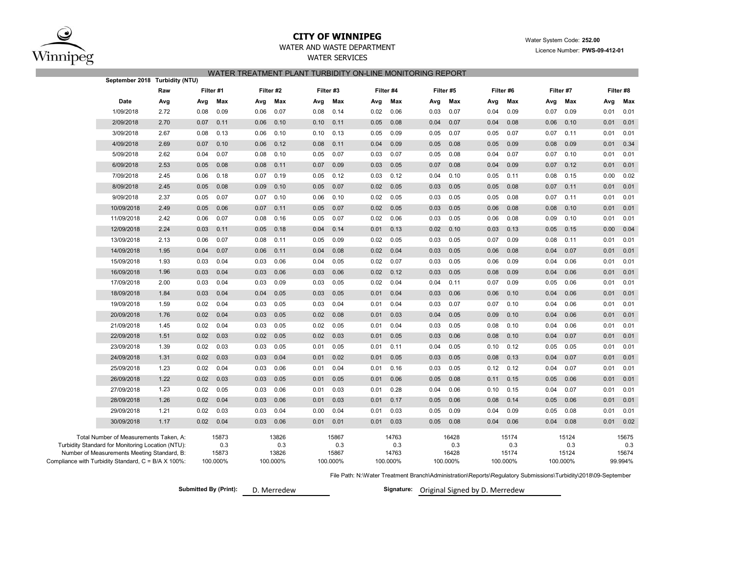

## **CITY OF WINNIPEG**WATER AND WASTE DEPARTMENT

## WATER SERVICES WATER TREATMENT PLANT TURBIDITY ON-LINE MONITORING REPORT

| September 2018 Turbidity (NTU)                                                                                                                                                                    |      |           |                                   |      |                                   |           |                                   |      |                                   |      |                                   |      |                                   |      |                                   |      |                                  |
|---------------------------------------------------------------------------------------------------------------------------------------------------------------------------------------------------|------|-----------|-----------------------------------|------|-----------------------------------|-----------|-----------------------------------|------|-----------------------------------|------|-----------------------------------|------|-----------------------------------|------|-----------------------------------|------|----------------------------------|
|                                                                                                                                                                                                   | Raw  | Filter #1 |                                   |      | Filter #2                         | Filter #3 |                                   |      | Filter #4                         |      | Filter #5                         |      | Filter #6                         |      | Filter #7                         |      | Filter #8                        |
| Date                                                                                                                                                                                              | Avg  | Avg       | Max                               | Avg  | Max                               | Avg       | Max                               | Avg  | Max                               | Avg  | Max                               | Avg  | Max                               | Avg  | Max                               | Avg  | Max                              |
| 1/09/2018                                                                                                                                                                                         | 2.72 | 0.08      | 0.09                              | 0.06 | 0.07                              | 0.08      | 0.14                              | 0.02 | 0.06                              | 0.03 | 0.07                              | 0.04 | 0.09                              | 0.07 | 0.09                              | 0.01 | 0.01                             |
| 2/09/2018                                                                                                                                                                                         | 2.70 | 0.07      | 0.11                              | 0.06 | 0.10                              | 0.10      | 0.11                              | 0.05 | 0.08                              | 0.04 | 0.07                              | 0.04 | 0.08                              | 0.06 | 0.10                              | 0.01 | 0.01                             |
| 3/09/2018                                                                                                                                                                                         | 2.67 | 0.08      | 0.13                              | 0.06 | 0.10                              | 0.10      | 0.13                              | 0.05 | 0.09                              | 0.05 | 0.07                              | 0.05 | 0.07                              | 0.07 | 0.11                              | 0.01 | 0.01                             |
| 4/09/2018                                                                                                                                                                                         | 2.69 | 0.07      | 0.10                              | 0.06 | 0.12                              | 0.08      | 0.11                              | 0.04 | 0.09                              | 0.05 | 0.08                              | 0.05 | 0.09                              | 0.08 | 0.09                              | 0.01 | 0.34                             |
| 5/09/2018                                                                                                                                                                                         | 2.62 | 0.04      | 0.07                              | 0.08 | 0.10                              | 0.05      | 0.07                              | 0.03 | 0.07                              | 0.05 | 0.08                              | 0.04 | 0.07                              | 0.07 | 0.10                              | 0.01 | 0.01                             |
| 6/09/2018                                                                                                                                                                                         | 2.53 | 0.05      | 0.08                              | 0.08 | 0.11                              | 0.07      | 0.09                              | 0.03 | 0.05                              | 0.07 | 0.08                              | 0.04 | 0.09                              | 0.07 | 0.12                              | 0.01 | 0.01                             |
| 7/09/2018                                                                                                                                                                                         | 2.45 | 0.06      | 0.18                              | 0.07 | 0.19                              | 0.05      | 0.12                              | 0.03 | 0.12                              | 0.04 | 0.10                              | 0.05 | 0.11                              | 0.08 | 0.15                              | 0.00 | 0.02                             |
| 8/09/2018                                                                                                                                                                                         | 2.45 | 0.05      | 0.08                              | 0.09 | 0.10                              | 0.05      | 0.07                              | 0.02 | 0.05                              | 0.03 | 0.05                              | 0.05 | 0.08                              | 0.07 | 0.11                              | 0.01 | 0.01                             |
| 9/09/2018                                                                                                                                                                                         | 2.37 | 0.05      | 0.07                              | 0.07 | 0.10                              | 0.06      | 0.10                              | 0.02 | 0.05                              | 0.03 | 0.05                              | 0.05 | 0.08                              | 0.07 | 0.11                              | 0.01 | 0.01                             |
| 10/09/2018                                                                                                                                                                                        | 2.49 | 0.05      | 0.06                              | 0.07 | 0.11                              | 0.05      | 0.07                              | 0.02 | 0.05                              | 0.03 | 0.05                              | 0.06 | 0.08                              | 0.08 | 0.10                              | 0.01 | 0.01                             |
| 11/09/2018                                                                                                                                                                                        | 2.42 | 0.06      | 0.07                              | 0.08 | 0.16                              | 0.05      | 0.07                              | 0.02 | 0.06                              | 0.03 | 0.05                              | 0.06 | 0.08                              | 0.09 | 0.10                              | 0.01 | 0.01                             |
| 12/09/2018                                                                                                                                                                                        | 2.24 | 0.03      | 0.11                              | 0.05 | 0.18                              | 0.04      | 0.14                              | 0.01 | 0.13                              | 0.02 | 0.10                              | 0.03 | 0.13                              | 0.05 | 0.15                              | 0.00 | 0.04                             |
| 13/09/2018                                                                                                                                                                                        | 2.13 | 0.06      | 0.07                              | 0.08 | 0.11                              | 0.05      | 0.09                              | 0.02 | 0.05                              | 0.03 | 0.05                              | 0.07 | 0.09                              | 0.08 | 0.11                              | 0.01 | 0.01                             |
| 14/09/2018                                                                                                                                                                                        | 1.95 | 0.04      | 0.07                              | 0.06 | 0.11                              | 0.04      | 0.08                              | 0.02 | 0.04                              | 0.03 | 0.05                              | 0.06 | 0.08                              | 0.04 | 0.07                              | 0.01 | 0.01                             |
| 15/09/2018                                                                                                                                                                                        | 1.93 | 0.03      | 0.04                              | 0.03 | 0.06                              | 0.04      | 0.05                              | 0.02 | 0.07                              | 0.03 | 0.05                              | 0.06 | 0.09                              | 0.04 | 0.06                              | 0.01 | 0.01                             |
| 16/09/2018                                                                                                                                                                                        | 1.96 | 0.03      | 0.04                              | 0.03 | 0.06                              | 0.03      | 0.06                              | 0.02 | 0.12                              | 0.03 | 0.05                              | 0.08 | 0.09                              | 0.04 | 0.06                              | 0.01 | 0.01                             |
| 17/09/2018                                                                                                                                                                                        | 2.00 | 0.03      | 0.04                              | 0.03 | 0.09                              | 0.03      | 0.05                              | 0.02 | 0.04                              | 0.04 | 0.11                              | 0.07 | 0.09                              | 0.05 | 0.06                              | 0.01 | 0.01                             |
| 18/09/2018                                                                                                                                                                                        | 1.84 | 0.03      | 0.04                              | 0.04 | 0.05                              | 0.03      | 0.05                              | 0.01 | 0.04                              | 0.03 | 0.06                              | 0.06 | 0.10                              | 0.04 | 0.06                              | 0.01 | 0.01                             |
| 19/09/2018                                                                                                                                                                                        | 1.59 | 0.02      | 0.04                              | 0.03 | 0.05                              | 0.03      | 0.04                              | 0.01 | 0.04                              | 0.03 | 0.07                              | 0.07 | 0.10                              | 0.04 | 0.06                              | 0.01 | 0.01                             |
| 20/09/2018                                                                                                                                                                                        | 1.76 | 0.02      | 0.04                              | 0.03 | 0.05                              | 0.02      | 0.08                              | 0.01 | 0.03                              | 0.04 | 0.05                              | 0.09 | 0.10                              | 0.04 | 0.06                              | 0.01 | 0.01                             |
| 21/09/2018                                                                                                                                                                                        | 1.45 | 0.02      | 0.04                              | 0.03 | 0.05                              | 0.02      | 0.05                              | 0.01 | 0.04                              | 0.03 | 0.05                              | 0.08 | 0.10                              | 0.04 | 0.06                              | 0.01 | 0.01                             |
| 22/09/2018                                                                                                                                                                                        | 1.51 | 0.02      | 0.03                              | 0.02 | 0.05                              | 0.02      | 0.03                              | 0.01 | 0.05                              | 0.03 | 0.06                              | 0.08 | 0.10                              | 0.04 | 0.07                              | 0.01 | 0.01                             |
| 23/09/2018                                                                                                                                                                                        | 1.39 | 0.02      | 0.03                              | 0.03 | 0.05                              | 0.01      | 0.05                              | 0.01 | 0.11                              | 0.04 | 0.05                              | 0.10 | 0.12                              | 0.05 | 0.05                              | 0.01 | 0.01                             |
| 24/09/2018                                                                                                                                                                                        | 1.31 | 0.02      | 0.03                              | 0.03 | 0.04                              | 0.01      | 0.02                              | 0.01 | 0.05                              | 0.03 | 0.05                              | 0.08 | 0.13                              | 0.04 | 0.07                              | 0.01 | 0.01                             |
| 25/09/2018                                                                                                                                                                                        | 1.23 | 0.02      | 0.04                              | 0.03 | 0.06                              | 0.01      | 0.04                              | 0.01 | 0.16                              | 0.03 | 0.05                              | 0.12 | 0.12                              | 0.04 | 0.07                              | 0.01 | 0.01                             |
| 26/09/2018                                                                                                                                                                                        | 1.22 | 0.02      | 0.03                              | 0.03 | 0.05                              | 0.01      | 0.05                              | 0.01 | 0.06                              | 0.05 | 0.08                              | 0.11 | 0.15                              | 0.05 | 0.06                              | 0.01 | 0.01                             |
| 27/09/2018                                                                                                                                                                                        | 1.23 | 0.02      | 0.05                              | 0.03 | 0.06                              | 0.01      | 0.03                              | 0.01 | 0.28                              | 0.04 | 0.06                              | 0.10 | 0.15                              | 0.04 | 0.07                              | 0.01 | 0.01                             |
| 28/09/2018                                                                                                                                                                                        | 1.26 | 0.02      | 0.04                              | 0.03 | 0.06                              | 0.01      | 0.03                              | 0.01 | 0.17                              | 0.05 | 0.06                              | 0.08 | 0.14                              | 0.05 | 0.06                              | 0.01 | 0.01                             |
| 29/09/2018                                                                                                                                                                                        | 1.21 | 0.02      | 0.03                              | 0.03 | 0.04                              | 0.00      | 0.04                              | 0.01 | 0.03                              | 0.05 | 0.09                              | 0.04 | 0.09                              | 0.05 | 0.08                              | 0.01 | 0.01                             |
| 30/09/2018                                                                                                                                                                                        | 1.17 | 0.02      | 0.04                              | 0.03 | 0.06                              | 0.01      | 0.01                              | 0.01 | 0.03                              | 0.05 | 0.08                              | 0.04 | 0.06                              | 0.04 | 0.08                              | 0.01 | 0.02                             |
| Total Number of Measurements Taken, A:<br>Turbidity Standard for Monitoring Location (NTU):<br>Number of Measurements Meeting Standard, B:<br>Compliance with Turbidity Standard, C = B/A X 100%: |      |           | 15873<br>0.3<br>15873<br>100.000% |      | 13826<br>0.3<br>13826<br>100.000% |           | 15867<br>0.3<br>15867<br>100.000% |      | 14763<br>0.3<br>14763<br>100.000% |      | 16428<br>0.3<br>16428<br>100.000% |      | 15174<br>0.3<br>15174<br>100.000% |      | 15124<br>0.3<br>15124<br>100.000% |      | 15675<br>0.3<br>15674<br>99.994% |

File Path: N:\Water Treatment Branch\Administration\Reports\Regulatory Submissions\Turbidity\2018\09-September

**Submitted By (Print): Signature:** D. Merredew Original Signed by D. Merredew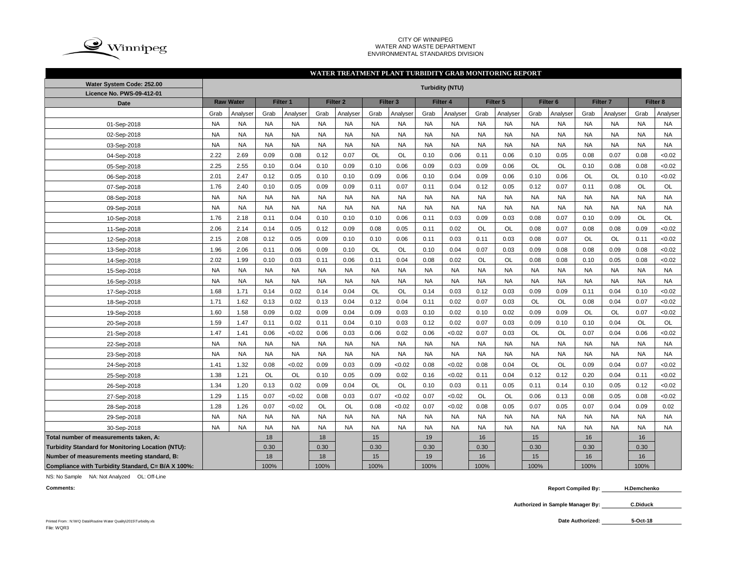

#### CITY OF WINNIPEG WATER AND WASTE DEPARTMENT ENVIRONMENTAL STANDARDS DIVISION

### **WATER TREATMENT PLANT TURBIDITY GRAB MONITORING REPORT**

| Water System Code: 252.00                                | <b>Turbidity (NTU)</b> |                  |           |           |           |                     |           |                     |           |           |           |           |                     |           |                     |           |           |           |
|----------------------------------------------------------|------------------------|------------------|-----------|-----------|-----------|---------------------|-----------|---------------------|-----------|-----------|-----------|-----------|---------------------|-----------|---------------------|-----------|-----------|-----------|
| Licence No. PWS-09-412-01                                |                        |                  |           |           |           |                     |           |                     |           |           |           |           |                     |           |                     |           |           |           |
| <b>Date</b>                                              |                        | <b>Raw Water</b> |           | Filter 1  |           | Filter <sub>2</sub> |           | Filter <sub>3</sub> |           | Filter 4  |           | Filter 5  | Filter <sub>6</sub> |           | Filter <sub>7</sub> |           |           | Filter 8  |
|                                                          | Grab                   | Analyser         | Grab      | Analyser  | Grab      | Analyser            | Grab      | Analyser            | Grab      | Analyser  | Grab      | Analyser  | Grab                | Analyser  | Grab                | Analyser  | Grab      | Analyser  |
| 01-Sep-2018                                              | <b>NA</b>              | <b>NA</b>        | <b>NA</b> | <b>NA</b> | <b>NA</b> | <b>NA</b>           | <b>NA</b> | <b>NA</b>           | <b>NA</b> | <b>NA</b> | <b>NA</b> | <b>NA</b> | <b>NA</b>           | <b>NA</b> | <b>NA</b>           | <b>NA</b> | <b>NA</b> | <b>NA</b> |
| 02-Sep-2018                                              | <b>NA</b>              | <b>NA</b>        | <b>NA</b> | <b>NA</b> | <b>NA</b> | <b>NA</b>           | <b>NA</b> | <b>NA</b>           | <b>NA</b> | <b>NA</b> | <b>NA</b> | <b>NA</b> | <b>NA</b>           | <b>NA</b> | <b>NA</b>           | <b>NA</b> | <b>NA</b> | <b>NA</b> |
| 03-Sep-2018                                              | <b>NA</b>              | <b>NA</b>        | <b>NA</b> | <b>NA</b> | <b>NA</b> | <b>NA</b>           | <b>NA</b> | <b>NA</b>           | <b>NA</b> | <b>NA</b> | <b>NA</b> | <b>NA</b> | <b>NA</b>           | <b>NA</b> | <b>NA</b>           | <b>NA</b> | <b>NA</b> | <b>NA</b> |
| 04-Sep-2018                                              | 2.22                   | 2.69             | 0.09      | 0.08      | 0.12      | 0.07                | <b>OL</b> | <b>OL</b>           | 0.10      | 0.06      | 0.11      | 0.06      | 0.10                | 0.05      | 0.08                | 0.07      | 0.08      | <0.02     |
| 05-Sep-2018                                              | 2.25                   | 2.55             | 0.10      | 0.04      | 0.10      | 0.09                | 0.10      | 0.06                | 0.09      | 0.03      | 0.09      | 0.06      | OL                  | OL        | 0.10                | 0.08      | 0.08      | <0.02     |
| 06-Sep-2018                                              | 2.01                   | 2.47             | 0.12      | 0.05      | 0.10      | 0.10                | 0.09      | 0.06                | 0.10      | 0.04      | 0.09      | 0.06      | 0.10                | 0.06      | OL                  | OL        | 0.10      | <0.02     |
| 07-Sep-2018                                              | 1.76                   | 2.40             | 0.10      | 0.05      | 0.09      | 0.09                | 0.11      | 0.07                | 0.11      | 0.04      | 0.12      | 0.05      | 0.12                | 0.07      | 0.11                | 0.08      | OL        | OL        |
| 08-Sep-2018                                              | <b>NA</b>              | <b>NA</b>        | <b>NA</b> | <b>NA</b> | <b>NA</b> | <b>NA</b>           | <b>NA</b> | <b>NA</b>           | <b>NA</b> | <b>NA</b> | <b>NA</b> | <b>NA</b> | <b>NA</b>           | <b>NA</b> | <b>NA</b>           | <b>NA</b> | <b>NA</b> | <b>NA</b> |
| 09-Sep-2018                                              | <b>NA</b>              | <b>NA</b>        | <b>NA</b> | <b>NA</b> | <b>NA</b> | <b>NA</b>           | <b>NA</b> | <b>NA</b>           | <b>NA</b> | <b>NA</b> | <b>NA</b> | <b>NA</b> | <b>NA</b>           | <b>NA</b> | <b>NA</b>           | <b>NA</b> | <b>NA</b> | <b>NA</b> |
| 10-Sep-2018                                              | 1.76                   | 2.18             | 0.11      | 0.04      | 0.10      | 0.10                | 0.10      | 0.06                | 0.11      | 0.03      | 0.09      | 0.03      | 0.08                | 0.07      | 0.10                | 0.09      | OL        | OL        |
| 11-Sep-2018                                              | 2.06                   | 2.14             | 0.14      | 0.05      | 0.12      | 0.09                | 0.08      | 0.05                | 0.11      | 0.02      | <b>OL</b> | OL        | 0.08                | 0.07      | 0.08                | 0.08      | 0.09      | <0.02     |
| 12-Sep-2018                                              | 2.15                   | 2.08             | 0.12      | 0.05      | 0.09      | 0.10                | 0.10      | 0.06                | 0.11      | 0.03      | 0.11      | 0.03      | 0.08                | 0.07      | OL                  | OL        | 0.11      | <0.02     |
| 13-Sep-2018                                              | 1.96                   | 2.06             | 0.11      | 0.06      | 0.09      | 0.10                | OL        | OL                  | 0.10      | 0.04      | 0.07      | 0.03      | 0.09                | 0.08      | 0.08                | 0.09      | 0.08      | <0.02     |
| 14-Sep-2018                                              | 2.02                   | 1.99             | 0.10      | 0.03      | 0.11      | 0.06                | 0.11      | 0.04                | 0.08      | 0.02      | OL        | <b>OL</b> | 0.08                | 0.08      | 0.10                | 0.05      | 0.08      | <0.02     |
| 15-Sep-2018                                              | <b>NA</b>              | <b>NA</b>        | <b>NA</b> | <b>NA</b> | <b>NA</b> | <b>NA</b>           | <b>NA</b> | <b>NA</b>           | <b>NA</b> | <b>NA</b> | <b>NA</b> | <b>NA</b> | <b>NA</b>           | <b>NA</b> | <b>NA</b>           | <b>NA</b> | <b>NA</b> | <b>NA</b> |
| 16-Sep-2018                                              | <b>NA</b>              | <b>NA</b>        | <b>NA</b> | <b>NA</b> | <b>NA</b> | <b>NA</b>           | <b>NA</b> | <b>NA</b>           | <b>NA</b> | <b>NA</b> | <b>NA</b> | <b>NA</b> | <b>NA</b>           | <b>NA</b> | <b>NA</b>           | <b>NA</b> | <b>NA</b> | <b>NA</b> |
| 17-Sep-2018                                              | 1.68                   | 1.71             | 0.14      | 0.02      | 0.14      | 0.04                | <b>OL</b> | <b>OL</b>           | 0.14      | 0.03      | 0.12      | 0.03      | 0.09                | 0.09      | 0.11                | 0.04      | 0.10      | <0.02     |
| 18-Sep-2018                                              | 1.71                   | 1.62             | 0.13      | 0.02      | 0.13      | 0.04                | 0.12      | 0.04                | 0.11      | 0.02      | 0.07      | 0.03      | OL                  | OL        | 0.08                | 0.04      | 0.07      | <0.02     |
| 19-Sep-2018                                              | 1.60                   | 1.58             | 0.09      | 0.02      | 0.09      | 0.04                | 0.09      | 0.03                | 0.10      | 0.02      | 0.10      | 0.02      | 0.09                | 0.09      | OL                  | OL        | 0.07      | <0.02     |
| 20-Sep-2018                                              | 1.59                   | 1.47             | 0.11      | 0.02      | 0.11      | 0.04                | 0.10      | 0.03                | 0.12      | 0.02      | 0.07      | 0.03      | 0.09                | 0.10      | 0.10                | 0.04      | OL        | OL        |
| 21-Sep-2018                                              | 1.47                   | 1.41             | 0.06      | < 0.02    | 0.06      | 0.03                | 0.06      | 0.02                | 0.06      | < 0.02    | 0.07      | 0.03      | <b>OL</b>           | <b>OL</b> | 0.07                | 0.04      | 0.06      | <0.02     |
| 22-Sep-2018                                              | <b>NA</b>              | <b>NA</b>        | <b>NA</b> | <b>NA</b> | <b>NA</b> | <b>NA</b>           | <b>NA</b> | <b>NA</b>           | <b>NA</b> | <b>NA</b> | <b>NA</b> | <b>NA</b> | <b>NA</b>           | <b>NA</b> | <b>NA</b>           | <b>NA</b> | <b>NA</b> | <b>NA</b> |
| 23-Sep-2018                                              | <b>NA</b>              | <b>NA</b>        | <b>NA</b> | <b>NA</b> | <b>NA</b> | <b>NA</b>           | <b>NA</b> | <b>NA</b>           | <b>NA</b> | <b>NA</b> | <b>NA</b> | <b>NA</b> | <b>NA</b>           | <b>NA</b> | <b>NA</b>           | <b>NA</b> | <b>NA</b> | <b>NA</b> |
| 24-Sep-2018                                              | 1.41                   | 1.32             | 0.08      | < 0.02    | 0.09      | 0.03                | 0.09      | < 0.02              | 0.08      | < 0.02    | 0.08      | 0.04      | <b>OL</b>           | <b>OL</b> | 0.09                | 0.04      | 0.07      | <0.02     |
| 25-Sep-2018                                              | 1.38                   | 1.21             | OL        | <b>OL</b> | 0.10      | 0.05                | 0.09      | 0.02                | 0.16      | < 0.02    | 0.11      | 0.04      | 0.12                | 0.12      | 0.20                | 0.04      | 0.11      | <0.02     |
| 26-Sep-2018                                              | 1.34                   | 1.20             | 0.13      | 0.02      | 0.09      | 0.04                | OL        | OL                  | 0.10      | 0.03      | 0.11      | 0.05      | 0.11                | 0.14      | 0.10                | 0.05      | 0.12      | <0.02     |
| 27-Sep-2018                                              | 1.29                   | 1.15             | 0.07      | < 0.02    | 0.08      | 0.03                | 0.07      | < 0.02              | 0.07      | < 0.02    | <b>OL</b> | OL        | 0.06                | 0.13      | 0.08                | 0.05      | 0.08      | <0.02     |
| 28-Sep-2018                                              | 1.28                   | 1.26             | 0.07      | < 0.02    | OL        | <b>OL</b>           | 0.08      | < 0.02              | 0.07      | < 0.02    | 0.08      | 0.05      | 0.07                | 0.05      | 0.07                | 0.04      | 0.09      | 0.02      |
| 29-Sep-2018                                              | <b>NA</b>              | <b>NA</b>        | <b>NA</b> | <b>NA</b> | <b>NA</b> | <b>NA</b>           | <b>NA</b> | <b>NA</b>           | <b>NA</b> | <b>NA</b> | <b>NA</b> | <b>NA</b> | <b>NA</b>           | <b>NA</b> | <b>NA</b>           | <b>NA</b> | <b>NA</b> | <b>NA</b> |
| 30-Sep-2018                                              | <b>NA</b>              | <b>NA</b>        | <b>NA</b> | <b>NA</b> | <b>NA</b> | <b>NA</b>           | <b>NA</b> | <b>NA</b>           | <b>NA</b> | <b>NA</b> | <b>NA</b> | <b>NA</b> | <b>NA</b>           | <b>NA</b> | <b>NA</b>           | <b>NA</b> | <b>NA</b> | <b>NA</b> |
| Total number of measurements taken, A:                   |                        |                  | 18        |           | 18        |                     | 15        |                     | 19        |           | 16        |           | 15                  |           | 16                  |           | 16        |           |
| <b>Turbidity Standard for Monitoring Location (NTU):</b> |                        |                  | 0.30      |           | 0.30      |                     | 0.30      |                     | 0.30      |           | 0.30      |           | 0.30                |           | 0.30                |           | 0.30      |           |
| Number of measurements meeting standard, B:              |                        |                  | 18        |           | 18        |                     | 15        |                     | 19        |           | 16        |           | 15                  |           | 16                  |           | 16        |           |
| Compliance with Turbidity Standard, C= B/A X 100%:       |                        |                  | 100%      |           | 100%      |                     | 100%      |                     | 100%      |           | 100%      |           | 100%                |           | 100%                |           | 100%      |           |

NS: No Sample NA: Not Analyzed OL: Off-Line

**Comments: Report Compiled By: H.Demchenko**

> **Authorized in Sample Manager By: C.Diduck**

**5-Oct-18**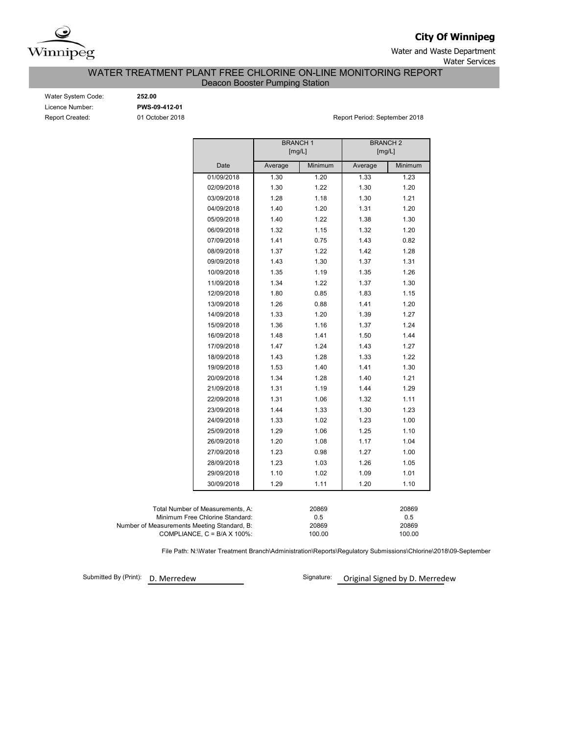

**City Of Winnipeg**

Water and Waste Department Water Services

WATER TREATMENT PLANT FREE CHLORINE ON-LINE MONITORING REPORT

Deacon Booster Pumping Station

| Water System Code:     |
|------------------------|
| Licence Number:        |
| <b>Report Created:</b> |

Water System Code: **252.00** Licence Number: **PWS-09-412-01**

01 October 2018 **Report Period: September 2018** Report Period: September 2018

|                                             |                                  | <b>BRANCH1</b><br>[mg/L] |                 | <b>BRANCH 2</b><br>[mg/L] |                 |  |  |
|---------------------------------------------|----------------------------------|--------------------------|-----------------|---------------------------|-----------------|--|--|
|                                             | Date                             | Average                  | Minimum         | Average                   | Minimum         |  |  |
|                                             | 01/09/2018                       | 1.30                     | 1.20            | 1.33                      | 1.23            |  |  |
|                                             | 02/09/2018                       | 1.30                     | 1.22            | 1.30                      | 1.20            |  |  |
|                                             | 03/09/2018                       | 1.28                     | 1.18            | 1.30                      | 1.21            |  |  |
|                                             | 04/09/2018                       | 1.40                     | 1.20            | 1.31                      | 1.20            |  |  |
|                                             | 05/09/2018                       | 1.40                     | 1.22            | 1.38                      | 1.30            |  |  |
|                                             | 06/09/2018                       | 1.32                     | 1.15            | 1.32                      | 1.20            |  |  |
|                                             | 07/09/2018                       | 1.41                     | 0.75            | 1.43                      | 0.82            |  |  |
|                                             | 08/09/2018                       | 1.37                     | 1.22            | 1.42                      | 1.28            |  |  |
|                                             | 09/09/2018                       | 1.43                     | 1.30            | 1.37                      | 1.31            |  |  |
|                                             | 10/09/2018                       | 1.35                     | 1.19            | 1.35                      | 1.26            |  |  |
|                                             | 11/09/2018                       | 1.34                     | 1.22            | 1.37                      | 1.30            |  |  |
|                                             | 12/09/2018                       | 1.80                     | 0.85            | 1.83                      | 1.15            |  |  |
|                                             | 13/09/2018                       | 1.26                     | 0.88            | 1.41                      | 1.20            |  |  |
|                                             | 14/09/2018                       | 1.33                     | 1.20            | 1.39                      | 1.27            |  |  |
|                                             | 15/09/2018                       | 1.36                     | 1.16            | 1.37                      | 1.24            |  |  |
|                                             | 16/09/2018                       | 1.48                     | 1.41            | 1.50                      | 1.44            |  |  |
|                                             | 17/09/2018                       | 1.47                     | 1.24            | 1.43                      | 1.27            |  |  |
|                                             | 18/09/2018                       | 1.43                     | 1.28            | 1.33                      | 1.22            |  |  |
|                                             | 19/09/2018                       | 1.53                     | 1.40            | 1.41                      | 1.30            |  |  |
|                                             | 20/09/2018                       | 1.34                     | 1.28            | 1.40                      | 1.21            |  |  |
|                                             | 21/09/2018                       | 1.31                     | 1.19            | 1.44                      | 1.29            |  |  |
|                                             | 22/09/2018                       | 1.31                     | 1.06            | 1.32                      | 1.11            |  |  |
|                                             | 23/09/2018                       | 1.44                     | 1.33            | 1.30                      | 1.23            |  |  |
|                                             | 24/09/2018                       | 1.33                     | 1.02            | 1.23                      | 1.00            |  |  |
|                                             | 25/09/2018                       | 1.29                     | 1.06            | 1.25                      | 1.10            |  |  |
|                                             | 26/09/2018                       | 1.20                     | 1.08            | 1.17                      | 1.04            |  |  |
|                                             | 27/09/2018                       | 1.23                     | 0.98            | 1.27                      | 1.00            |  |  |
|                                             | 28/09/2018                       | 1.23                     | 1.03            | 1.26                      | 1.05            |  |  |
|                                             | 29/09/2018                       | 1.10                     | 1.02            | 1.09                      | 1.01            |  |  |
|                                             | 30/09/2018                       | 1.29                     | 1.11            | 1.20                      | 1.10            |  |  |
|                                             |                                  |                          |                 |                           |                 |  |  |
|                                             | Total Number of Measurements, A: |                          | 20869           |                           | 20869           |  |  |
|                                             | Minimum Free Chlorine Standard:  |                          | 0.5             |                           | 0.5             |  |  |
| Number of Measurements Meeting Standard, B: | COMPLIANCE, C = B/A X 100%:      |                          | 20869<br>100.00 |                           | 20869<br>100.00 |  |  |

File Path: N:\Water Treatment Branch\Administration\Reports\Regulatory Submissions\Chlorine\2018\09-September

Submitted By (Print): D. Merredew

Signature: **Original Signed by D. Merredew**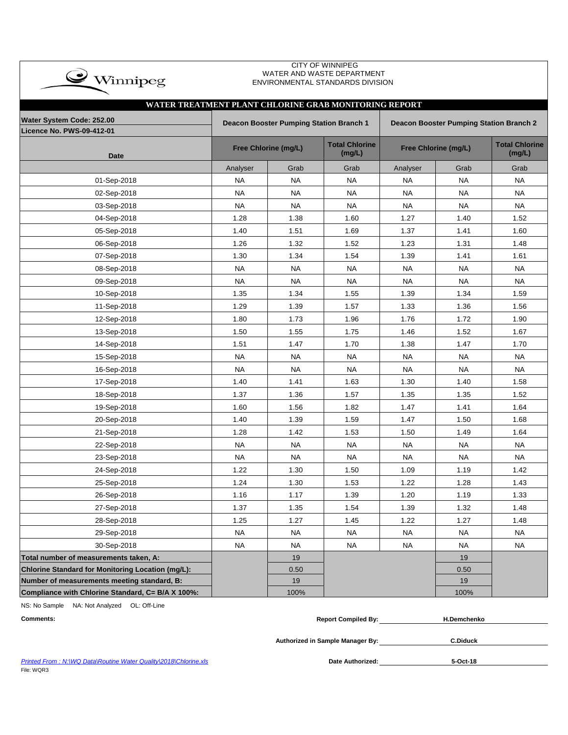| $\bullet$ Winnipeg                                            |           |                                                | WATER AND WASTE DEPARTMENT<br>ENVIRONMENTAL STANDARDS DIVISION |                      |                                                |           |
|---------------------------------------------------------------|-----------|------------------------------------------------|----------------------------------------------------------------|----------------------|------------------------------------------------|-----------|
|                                                               |           |                                                |                                                                |                      |                                                |           |
| WATER TREATMENT PLANT CHLORINE GRAB MONITORING REPORT         |           |                                                |                                                                |                      |                                                |           |
| Water System Code: 252.00<br><b>Licence No. PWS-09-412-01</b> |           | <b>Deacon Booster Pumping Station Branch 1</b> |                                                                |                      | <b>Deacon Booster Pumping Station Branch 2</b> |           |
| <b>Date</b>                                                   |           | <b>Free Chlorine (mg/L)</b>                    | <b>Total Chlorine</b><br>(mg/L)                                | Free Chlorine (mg/L) | <b>Total Chlorine</b><br>(mg/L)                |           |
|                                                               | Analyser  | Grab                                           | Grab                                                           | Analyser             | Grab                                           | Grab      |
| 01-Sep-2018                                                   | <b>NA</b> | <b>NA</b>                                      | <b>NA</b>                                                      | <b>NA</b>            | <b>NA</b>                                      | <b>NA</b> |
| 02-Sep-2018                                                   | <b>NA</b> | NA                                             | NA                                                             | <b>NA</b>            | NA.                                            | <b>NA</b> |
| 03-Sep-2018                                                   | <b>NA</b> | <b>NA</b>                                      | NA.                                                            | NA.                  | NA                                             | <b>NA</b> |
| 04-Sep-2018                                                   | 1.28      | 1.38                                           | 1.60                                                           | 1.27                 | 1.40                                           | 1.52      |
| 05-Sep-2018                                                   | 1.40      | 1.51                                           | 1.69                                                           | 1.37                 | 1.41                                           | 1.60      |
| 06-Sep-2018                                                   | 1.26      | 1.32                                           | 1.52                                                           | 1.23                 | 1.31                                           | 1.48      |
| 07-Sep-2018                                                   | 1.30      | 1.34                                           | 1.54                                                           | 1.39                 | 1.41                                           | 1.61      |
| 08-Sep-2018                                                   | NA        | <b>NA</b>                                      | <b>NA</b>                                                      | <b>NA</b>            | NA                                             | <b>NA</b> |
| 09-Sep-2018                                                   | <b>NA</b> | <b>NA</b>                                      | <b>NA</b>                                                      | <b>NA</b>            | <b>NA</b>                                      | <b>NA</b> |
| 10-Sep-2018                                                   | 1.35      | 1.34                                           | 1.55                                                           | 1.39                 | 1.34                                           | 1.59      |
| 11-Sep-2018                                                   | 1.29      | 1.39                                           | 1.57                                                           | 1.33                 | 1.36                                           | 1.56      |
| 12-Sep-2018                                                   | 1.80      | 1.73                                           | 1.96                                                           | 1.76                 | 1.72                                           | 1.90      |
| 13-Sep-2018                                                   | 1.50      | 1.55                                           | 1.75                                                           | 1.46                 | 1.52                                           | 1.67      |
| 14-Sep-2018                                                   | 1.51      | 1.47                                           | 1.70                                                           | 1.38                 | 1.47                                           | 1.70      |
| 15-Sep-2018                                                   | <b>NA</b> | <b>NA</b>                                      | <b>NA</b>                                                      | <b>NA</b>            | <b>NA</b>                                      | <b>NA</b> |
| 16-Sep-2018                                                   | <b>NA</b> | <b>NA</b>                                      | <b>NA</b>                                                      | <b>NA</b>            | <b>NA</b>                                      | <b>NA</b> |
| 17-Sep-2018                                                   | 1.40      | 1.41                                           | 1.63                                                           | 1.30                 | 1.40                                           | 1.58      |
| 18-Sep-2018                                                   | 1.37      | 1.36                                           | 1.57                                                           | 1.35                 | 1.35                                           | 1.52      |
| 19-Sep-2018                                                   | 1.60      | 1.56                                           | 1.82                                                           | 1.47                 | 1.41                                           | 1.64      |
| 20-Sep-2018                                                   | 1.40      | 1.39                                           | 1.59                                                           | 1.47                 | 1.50                                           | 1.68      |
| 21-Sep-2018                                                   | 1.28      | 1.42                                           | 1.53                                                           | 1.50                 | 1.49                                           | 1.64      |
| 22-Sep-2018                                                   | <b>NA</b> | <b>NA</b>                                      | <b>NA</b>                                                      | <b>NA</b>            | <b>NA</b>                                      | <b>NA</b> |
| 23-Sep-2018                                                   | <b>NA</b> | <b>NA</b>                                      | <b>NA</b>                                                      | <b>NA</b>            | <b>NA</b>                                      | <b>NA</b> |
| 24-Sep-2018                                                   | 1.22      | 1.30                                           | 1.50                                                           | 1.09                 | 1.19                                           | 1.42      |
| 25-Sep-2018                                                   | 1.24      | 1.30                                           | 1.53                                                           | 1.22                 | 1.28                                           | 1.43      |
| 26-Sep-2018                                                   | 1.16      | 1.17                                           | 1.39                                                           | 1.20                 | 1.19                                           | 1.33      |
| 27-Sep-2018                                                   | 1.37      | 1.35                                           | 1.54                                                           | 1.39                 | 1.32                                           | 1.48      |
| 28-Sep-2018                                                   | 1.25      | 1.27                                           | 1.45                                                           | 1.22                 | 1.27                                           | 1.48      |
| 29-Sep-2018                                                   | NA        | <b>NA</b>                                      | <b>NA</b>                                                      | <b>NA</b>            | <b>NA</b>                                      | <b>NA</b> |
| 30-Sep-2018                                                   | <b>NA</b> | <b>NA</b>                                      | <b>NA</b>                                                      | <b>NA</b>            | <b>NA</b>                                      | <b>NA</b> |
| Total number of measurements taken, A:                        |           | 19                                             |                                                                |                      | 19                                             |           |
| Chlorine Standard for Monitoring Location (mg/L):             |           | 0.50                                           |                                                                |                      | 0.50                                           |           |
| Number of measurements meeting standard, B:                   |           | 19                                             |                                                                |                      | 19                                             |           |
| Compliance with Chlorine Standard, C= B/A X 100%:             |           | 100%                                           |                                                                |                      | 100%                                           |           |

CITY OF WINNIPEG

NS: No Sample NA: Not Analyzed OL: Off-Line

 $\overline{\phantom{a}}$ 

**Comments: Report Compiled By: H.Demchenko**

**Authorized in Sample Manager By: C.Diduck**

*Printed From : N:\WQ Data\Routine Water Quality\2018\Chlorine.xls* **Date Authorized:** File: WQR3

Date Authorized: 5-Oct-18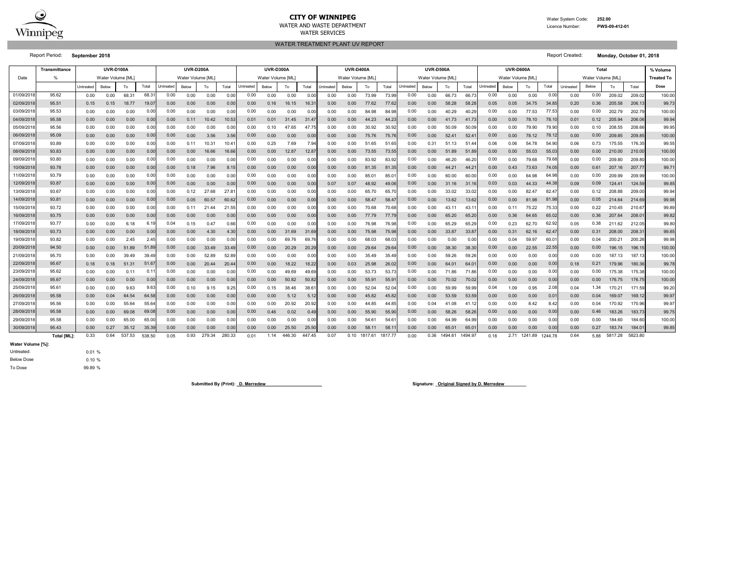

#### **CITY OF WINNIPEG**WATER AND WASTE DEPARTMENTWATER SERVICES

WATER TREATMENT PLANT UV REPORT

 Water System Code: **252.00** Licence Number:

Report Period: **September 2018** Report Created: **Monday, October 01, 2018**

**PWS-09-412-01**

|            | Transmittance      | <b>UVR-D100A</b><br><b>UVR-D200A</b> |                   |        |        |           | <b>UVR-D300A</b><br><b>UVR-D400A</b> |                   |        |           |                   |        |        |           | <b>UVR-D500A</b>  |         |         | <b>UVR-D600A</b> |                   |         |         | Total            |                   |         |         | % Volume          |       |         |         |                   |
|------------|--------------------|--------------------------------------|-------------------|--------|--------|-----------|--------------------------------------|-------------------|--------|-----------|-------------------|--------|--------|-----------|-------------------|---------|---------|------------------|-------------------|---------|---------|------------------|-------------------|---------|---------|-------------------|-------|---------|---------|-------------------|
| Date       | $\frac{9}{6}$      |                                      | Water Volume [ML] |        |        |           | Water Volume [ML]                    |                   |        |           | Water Volume [ML] |        |        |           | Water Volume [ML] |         |         |                  | Water Volume [ML] |         |         |                  | Water Volume [ML] |         |         | Water Volume [ML] |       |         |         | <b>Treated To</b> |
|            |                    | Untreated                            | Below             | To     | Total  | Jntreated | Below                                | To                | Total  | Untreated | Below             | To     | Total  | Untreated | Below             | To      | Total   | <b>Jntreated</b> | Below             | To      | Total   | <b>Jntreated</b> | Below             | To      | Total   | Untreated         | Below | To      | Total   | Dose              |
| 01/09/201  | 95.62              | 0.00                                 | 0.00              | 68.31  | 68.3'  | 0.00      | 0.00                                 | 0.00              | 0.01   | 0.00      | 0.00              | 0.00   | 0.0    | 0.00      | 0.00              | 73.99   | 73.9    | 0.00             | 0.00              | 66.73   | 66.7    | 0.00             | 0.00              | 0.00    | 0.0     | 0.00              | 0.00  | 209.02  | 209.02  | 100.00            |
| 02/09/201  | 95.51              | 0.15                                 | 0.15              | 18.77  | 19.0   | 0.00      | 0.00                                 | 0.00              | 0.01   | 0.00      | 0.16              | 16.15  | 16.3   | 0.00      | 0.00              | 77.62   | 77.6    | 0.00             | 0.00              | 58.28   | 58.28   | 0.05             | 0.05              | 34.75   | 34.8    | 0.20              | 0.36  | 205.58  | 206.13  | 99.73             |
| 03/09/201  | 95.53              | 0.00                                 | 0.00              | 0.00   | 0.0    | 0.00      | 0.00                                 | 0.00              | 0.0    | 0.00      | 0.00              | 0.00   | 0.0    | 0.00      | 0.00              | 84.98   | 84.9    | 0.00             | 0.00              | 40.29   | 40.2    | 0.00             | 0.00              | 77.53   | 77.5    | 0.00              | 0.00  | 202.79  | 202.79  | 100.00            |
| 04/09/201  | 95.58              | 0.00                                 | 0.00              | 0.00   | 0.00   | 0.00      | 0.11                                 | 10.42             | 10.53  | 0.01      | 0.01              | 31.45  | 31.4   | 0.00      | 0.00              | 44.23   | 44.23   | 0.00             | 0.00              | 41.73   | 41.73   | 0.00             | 0.00              | 78.10   | 78.1    | 0.01              | 0.12  | 205.94  | 206.0   | 99.94             |
| 05/09/2018 | 95.56              | 0.00                                 | 0.00              | 0.00   | 0.00   | 0.00      | 0.00                                 | 0.00              | 0.0    | 0.00      | 0.10              | 47.65  | 47.7   | 0.00      | 0.00              | 30.92   | 30.9    | 0.00             | 0.00              | 50.09   | 50.09   | 0.00             | 0.00              | 79.90   | 79.90   | 0.00              | 0.10  | 208.55  | 208.66  | 99.95             |
| 06/09/201  | 95.09              | 0.00                                 | 0.00              | 0.00   | 0.00   | 0.00      | 0.00                                 | 3.56              | 3.56   | 0.00      | 0.00              | 0.00   | 0.00   | 0.00      | 0.00              | 75.76   | 75.7    | 0.00             | 0.00              | 52.41   | 52.4    | 0.00             | 0.00              | 78.12   | 78.1    | 0.00              | 0.00  | 209.85  | 209.85  | 100.00            |
| 07/09/201  | 93.89              | 0.00                                 | 0.00              | 0.00   | 0.0    | 0.00      | 0.11                                 | 10.3 <sup>2</sup> | 10.4   | 0.00      | 0.25              | 7.69   | 7.94   | 0.00      | 0.00              | 51.65   | 51.6    | 0.00             | 0.31              | 51.13   | 51.44   | 0.06             | 0.06              | 54.78   | 54.9    | 0.06              | 0.73  | 175.55  | 176.35  | 99.55             |
| 08/09/201  | 93.83              | 0.00                                 | 0.00              | 0.00   | 0.00   | 0.00      | 0.00                                 | 16.66             | 16.6   | 0.00      | 0.00              | 12.87  | 12.8   | 0.00      | 0.00              | 73.55   | 73.5    | 0.00             | 0.00              | 51.89   | 51.8    | 0.00             | 0.00              | 55.03   | 55.0    | 0.00              | 0.00  | 210.00  | 210.00  | 100.00            |
| 09/09/201  | 93.80              | 0.00                                 | 0.00              | 0.00   | 0.0    | 0.00      | 0.00                                 | 0.00              | 0.0    | 0.00      | 0.00              | 0.00   | 0.0    | 0.00      | 0.00              | 83.92   | 83.9    | 0.00             | 0.00              | 46.20   | 46.2    | 0.00             | 0.00              | 79.68   | 79.6    | 0.00              | 0.00  | 209.80  | 209.80  | 100.00            |
| 10/09/201  | 93.78              | 0.00                                 | 0.00              | 0.00   | 0.00   | 0.00      | 0.18                                 | 7.96              | 8.1    | 0.00      | 0.00              | 0.00   | 0.00   | 0.00      | 0.00              | 81.35   | 81.35   | 0.00             | 0.00              | 44.21   | 44.21   | 0.00             | 0.43              | 73.63   | 74.05   | 0.00              | 0.61  | 207.16  | 207.77  | 99.7              |
| 11/09/2018 | 93.79              | 0.00                                 | 0.00              | 0.00   | 0.00   | 0.00      | 0.00                                 | 0.00              | 0.00   | 0.00      | 0.00              | 0.00   | 0.00   | 0.00      | 0.00              | 85.01   | 85.0    | 0.00             | 0.00              | 60.00   | 60.00   | 0.00             | 0.00              | 64.98   | 64.98   | 0.00              | 0.00  | 209.99  | 209.99  | 100.00            |
| 12/09/201  | 93.87              | 0.00                                 | 0.00              | 0.00   | 0.00   | 0.00      | 0.00                                 | 0.00              | 0.0    | 0.00      | 0.00              | 0.00   | 0.00   | 0.07      | 0.07              | 48.92   | 49.0    | 0.00             | 0.00              | 31.16   | 31.1    | 0.03             | 0.03              | 44.33   | 44.3    | 0.09              | 0.09  | 124.41  | 124.59  | 99.85             |
| 13/09/201  | 93.67              | 0.00                                 | 0.00              | 0.00   | 0.00   | 0.00      | 0.12                                 | 27.68             | 27.8   | 0.00      | 0.00              | 0.00   | 0.00   | 0.00      | 0.00              | 65.70   | 65.7    | 0.00             | 0.00              | 33.02   | 33.02   | 0.00             | 0.00              | 82.47   | 82.47   | 0.00              | 0.12  | 208.88  | 209.00  | 99.94             |
| 14/09/201  | 93.81              | 0.00                                 | 0.00              | 0.00   | 0.00   | 0.00      | 0.05                                 | 60.57             | 60.6   | 0.00      | 0.00              | 0.00   | 0.0    | 0.00      | 0.00              | 58.47   | 58.4    | 0.00             | 0.00              | 13.62   | 13.62   | 0.00             | 0.00              | 81.98   | 81.9    | 0.00              | 0.05  | 214.64  | 214.69  | 99.98             |
| 15/09/201  | 93.72              | 0.00                                 | 0.00              | 0.00   | 0.0    | 0.00      | 0.11                                 | 21.44             | 21.5   | 0.00      | 0.00              | 0.00   | 0.00   | 0.00      | 0.00              | 70.68   | 70.6    | 0.00             | 0.00              | 43.11   | 43.     | 0.00             | 0.11              | 75.22   | 75.3    | 0.00              | 0.22  | 210.45  | 210.6   | 99.89             |
| 16/09/201  | 93.75              | 0.00                                 | 0.00              | 0.00   | 0.00   | 0.00      | 0.00                                 | 0.00              | 0.00   | 0.00      | 0.00              | 0.00   | 0.00   | 0.00      | 0.00              | 77.79   | 77.7    | 0.00             | 0.00              | 65.20   | 65.20   | 0.00             | 0.36              | 64.65   | 65.0    | 0.00              | 0.36  | 207.64  | 208.0   | 99.82             |
| 17/09/2018 | 93.77              | 0.00                                 | 0.00              | 6.18   | 6.19   | 0.04      | 0.15                                 | 0.47              | 0.66   | 0.00      | 0.00              | 0.00   | 0.00   | 0.00      | 0.00              | 76.98   | 76.98   | 0.00             | 0.00              | 65.29   | 65.29   | 0.00             | 0.23              | 62.70   | 62.92   | 0.05              | 0.38  | 211.62  | 212.0   | 99.80             |
| 18/09/2018 | 93.73              | 0.00                                 | 0.00              | 0.00   | 0.00   | 0.00      | 0.00                                 | 4.30              | 4.3    | 0.00      | 0.00              | 31.69  | 31.6   | 0.00      | 0.00              | 75.98   | 75.9    | 0.00             | 0.00              | 33.87   | 33.8    | 0.00             | 0.31              | 62.16   | 62.4    | 0.00              | 0.31  | 208.00  | 208.3   | 99.85             |
| 19/09/201  | 93.82              | 0.00                                 | 0.00              | 2.45   | 2.45   | 0.00      | 0.00                                 | 0.00              | 0.0    | 0.00      | 0.00              | 69.76  | 69.7   | 0.00      | 0.00              | 68.03   | 68.0    | 0.00             | 0.00              | 0.00    | 0.00    | 0.00             | 0.04              | 59.97   | 60.0    | 0.00              | 0.04  | 200.21  | 200.26  | 99.98             |
| 20/09/201  | 94.50              | 0.00                                 | 0.00              | 51.89  | 51.8   | 0.00      | 0.00                                 | 33.49             | 33.4   | 0.00      | 0.00              | 20.29  | 20.2   | 0.00      | 0.00              | 29.64   | 29.6    | 0.00             | 0.00              | 38.30   | 38.30   | 0.00             | 0.00              | 22.55   | 22.5    | 0.00              | 0.00  | 196.15  | 196.1   | 100.00            |
| 21/09/201  | 95.70              | 0.00                                 | 0.00              | 39.49  | 39.4   | 0.00      | 0.00                                 | 52.89             | 52.8   | 0.00      | 0.00              | 0.00   | 0.0    | 0.00      | 0.00              | 35.49   | 35.4    | 0.00             | 0.00              | 59.26   | 59.2    | 0.00             | 0.00              | 0.00    | 0.0     | 0.00              | 0.00  | 187.13  | 187.1   | 100.00            |
| 22/09/201  | 95.67              | 0.18                                 | 0.18              | 51.31  | 51.6   | 0.00      | 0.00                                 | 20.44             | 20.4   | 0.00      | 0.00              | 18.22  | 18.22  | 0.00      | 0.03              | 25.98   | 26.02   | 0.00             | 0.00              | 64.01   | 64.0    | 0.00             | 0.00              | 0.00    | 0.0     | 0.18              | 0.21  | 179.96  | 180.36  | 99.7              |
| 23/09/2018 | 95.62              | 0.00                                 | 0.00              | 0.11   | 0.1    | 0.00      | 0.00                                 | 0.00              | 0.00   | 0.00      | 0.00              | 49.69  | 49.69  | 0.00      | 0.00              | 53.73   | 53.73   | 0.00             | 0.00              | 71.86   | 71.86   | 0.00             | 0.00              | 0.00    | 0.00    | 0.00              | 0.00  | 175.38  | 175.38  | 100.00            |
| 24/09/201  | 95.67              | 0.00                                 | 0.00              | 0.00   | 0.00   | 0.00      | 0.00                                 | 0.00              | 0.01   | 0.00      | 0.00              | 50.82  | 50.82  | 0.00      | 0.00              | 55.91   | 55.9    | 0.00             | 0.00              | 70.02   | 70.02   | 0.00             | 0.00              | 0.00    | 0.0     | 0.00              | 0.00  | 176.75  | 176.75  | 100.00            |
| 25/09/201  | 95.61              | 0.00                                 | 0.00              | 9.63   | 9.63   | 0.00      | 0.10                                 | 9.15              | 9.25   | 0.00      | 0.15              | 38.46  | 38.6   | 0.00      | 0.00              | 52.04   | 52.04   | 0.00             | 0.00              | 59.99   | 59.99   | 0.04             | 1.09              | 0.95    | 2.08    | 0.04              | 1.34  | 170.21  | 171.59  | 99.20             |
| 26/09/201  | 95.58              | 0.00                                 | 0.04              | 64.54  | 64.58  | 0.00      | 0.00                                 | 0.00              | 0.01   | 0.00      | 0.00              | 5.12   | 5.12   | 0.00      | 0.00              | 45.82   | 45.82   | 0.00             | 0.00              | 53.59   | 53.59   | 0.00             | 0.00              | 0.00    | 0.0     | 0.00              | 0.04  | 169.07  | 169.12  | 99.97             |
| 27/09/201  | 95.56              | 0.00                                 | 0.00              | 55.64  | 55.6   | 0.00      | 0.00                                 | 0.00              | 0.0    | 0.00      | 0.00              | 20.92  | 20.9   | 0.00      | 0.00              | 44.85   | 44.8    | 0.00             | 0.04              | 41.08   | 41      | 0.00             | 0.00              | 8.42    | 8.4     | 0.00              | 0.04  | 170.92  | 170.9   | 99.97             |
| 28/09/201  | 95.58              | 0.00                                 | 0.00              | 69.08  | 69.0   | 0.00      | 0.00                                 | 0.00              | 0.00   | 0.00      | 0.46              | 0.02   | 0.49   | 0.00      | 0.00              | 55.90   | 55.9    | 0.00             | 0.00              | 58.26   | 58.26   | 0.00             | 0.00              | 0.00    | 0.0     | 0.00              | 0.46  | 183.26  | 183.7   | 99.75             |
| 29/09/201  | 95.58              | 0.00                                 | 0.00              | 65.00  | 65.00  | 0.00      | 0.00                                 | 0.00              | 0.00   | 0.00      | 0.00              | 0.00   | 0.00   | 0.00      | 0.00              | 54.61   | 54.6'   | 0.00             | 0.00              | 64.99   | 64.99   | 0.00             | 0.00              | 0.00    | 0.00    | 0.00              | 0.00  | 184.60  | 184.60  | 100.00            |
| 30/09/201  | 95.43              | 0.00                                 | 0.27              | 35.12  | 35.39  | 0.00      | 0.00                                 | 0.00              | 0.01   | 0.00      | 0.00              | 25.50  | 25.50  | 0.00      | 0.00              | 58.11   | 58.7    | 0.00             | 0.00              | 65.01   | 65.0    | 0.00             | 0.00              | 0.00    | 0.0     | 0.00              | 0.27  | 183.74  | 184.0   | 99.85             |
|            | <b>Total IMLI:</b> | 0.33                                 | 0.64              | 537.53 | 538.50 | 0.05      | 0.93                                 | 279.34            | 280.33 | 0.01      | 1.14              | 446.30 | 447.45 | 0.07      | 0.10              | 1817.61 | 1817.77 | 0.00             | 0.36              | 1494.61 | 1494.97 | 0.18             | 2.71              | 1241.89 | 1244.78 | 0.64              | 5.88  | 5817.28 | 5823.80 |                   |

Untreated: **Water Volume [%]:** Below Dose

99.89 % To Dose

0.01 % 0.10 %

Submitted By (Print): <u>D. Merredew</u> **Communication Communication Communication Communication Communication Communication Communication Communication Communication Communication Communication Communication Communication Com**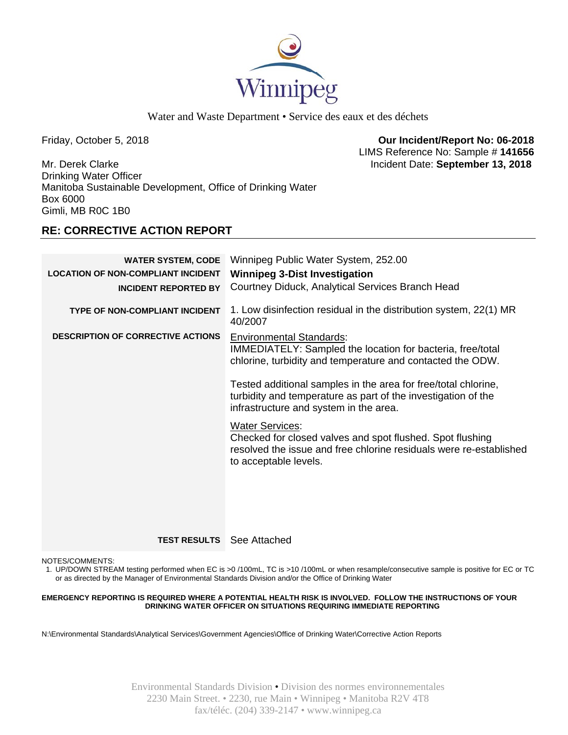

Water and Waste Department • Service des eaux et des déchets

Friday, October 5, 2018 **Our Incident/Report No: 06-2018**  LIMS Reference No: Sample # **141656**

Mr. Derek Clarke Incident Date: **September 13, 2018**  Drinking Water Officer Manitoba Sustainable Development, Office of Drinking Water Box 6000 Gimli, MB R0C 1B0

# **RE: CORRECTIVE ACTION REPORT**

| <b>WATER SYSTEM, CODE</b><br><b>LOCATION OF NON-COMPLIANT INCIDENT</b><br><b>INCIDENT REPORTED BY</b> | Winnipeg Public Water System, 252.00<br><b>Winnipeg 3-Dist Investigation</b><br>Courtney Diduck, Analytical Services Branch Head                                                                                                                                                                                                                                                                                                                                                                                               |
|-------------------------------------------------------------------------------------------------------|--------------------------------------------------------------------------------------------------------------------------------------------------------------------------------------------------------------------------------------------------------------------------------------------------------------------------------------------------------------------------------------------------------------------------------------------------------------------------------------------------------------------------------|
| <b>TYPE OF NON-COMPLIANT INCIDENT</b>                                                                 | 1. Low disinfection residual in the distribution system, 22(1) MR<br>40/2007                                                                                                                                                                                                                                                                                                                                                                                                                                                   |
| <b>DESCRIPTION OF CORRECTIVE ACTIONS</b>                                                              | <b>Environmental Standards:</b><br>IMMEDIATELY: Sampled the location for bacteria, free/total<br>chlorine, turbidity and temperature and contacted the ODW.<br>Tested additional samples in the area for free/total chlorine,<br>turbidity and temperature as part of the investigation of the<br>infrastructure and system in the area.<br><b>Water Services:</b><br>Checked for closed valves and spot flushed. Spot flushing<br>resolved the issue and free chlorine residuals were re-established<br>to acceptable levels. |

**TEST RESULTS** See Attached

NOTES/COMMENTS:

1. UP/DOWN STREAM testing performed when EC is >0 /100mL, TC is >10 /100mL or when resample/consecutive sample is positive for EC or TC or as directed by the Manager of Environmental Standards Division and/or the Office of Drinking Water

### **EMERGENCY REPORTING IS REQUIRED WHERE A POTENTIAL HEALTH RISK IS INVOLVED. FOLLOW THE INSTRUCTIONS OF YOUR DRINKING WATER OFFICER ON SITUATIONS REQUIRING IMMEDIATE REPORTING**

N:\Environmental Standards\Analytical Services\Government Agencies\Office of Drinking Water\Corrective Action Reports